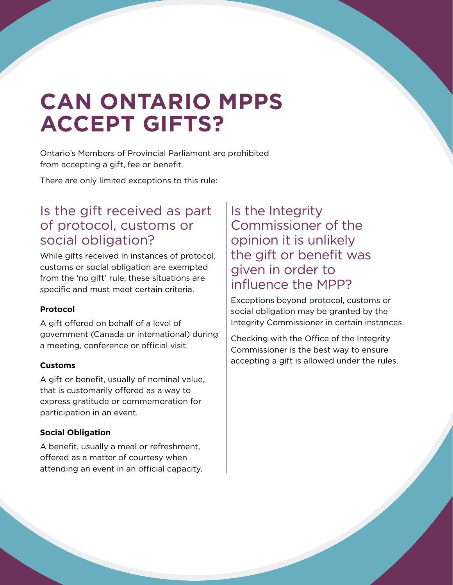# **CAN ONTARIO MPPS ACCEPT GIFTS?**

Ontario's Members of Provincial Parliament are prohibited from accepting a gift, fee or benefit.

There are only limited exceptions to this rule:

### Is the gift received as part of protocol, customs or social obligation?

While gifts received in instances of protocol, customs or social obligation are exempted from the 'no gift' rule, these situations are specific and must meet certain criteria.

#### **Protocol**

A gift offered on behalf of a level of government (Canada or international) during a meeting, conference or official visit.

#### **Customs**

A gift or benefit, usually of nominal value, that is customarily offered as a way to express gratitude or commemoration for participation in an event.

#### **Social Obligation**

A benefit, usually a meal or refreshment, offered as a matter of courtesy when attending an event in an official capacity.

### Is the Integrity Commissioner of the opinion it is unlikely the gift or benefit was given in order to influence the MPP?

Exceptions beyond protocol, customs or social obligation may be granted by the Integrity Commissioner in certain instances.

Checking with the Office of the Integrity Commissioner is the best way to ensure accepting a gift is allowed under the rules.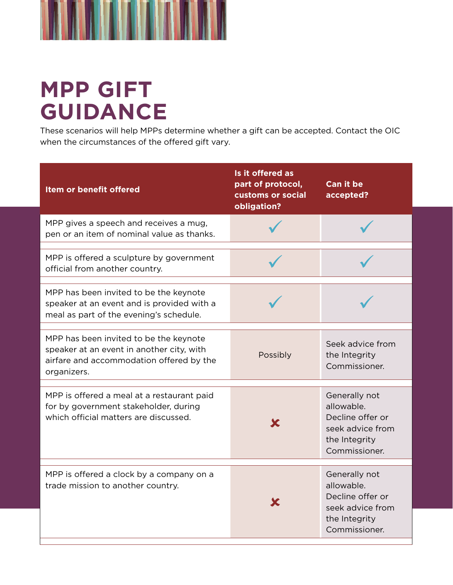

# **MPP GIFT GUIDANCE**

These scenarios will help MPPs determine whether a gift can be accepted. Contact the OIC when the circumstances of the offered gift vary.

| Item or benefit offered                                                                                                                        | Is it offered as<br>part of protocol,<br>customs or social<br>obligation? | <b>Can it be</b><br>accepted?                                                                         |
|------------------------------------------------------------------------------------------------------------------------------------------------|---------------------------------------------------------------------------|-------------------------------------------------------------------------------------------------------|
| MPP gives a speech and receives a mug,<br>pen or an item of nominal value as thanks.                                                           |                                                                           |                                                                                                       |
| MPP is offered a sculpture by government<br>official from another country.                                                                     |                                                                           |                                                                                                       |
| MPP has been invited to be the keynote<br>speaker at an event and is provided with a<br>meal as part of the evening's schedule.                |                                                                           |                                                                                                       |
| MPP has been invited to be the keynote<br>speaker at an event in another city, with<br>airfare and accommodation offered by the<br>organizers. | Possibly                                                                  | Seek advice from<br>the Integrity<br>Commissioner.                                                    |
| MPP is offered a meal at a restaurant paid<br>for by government stakeholder, during<br>which official matters are discussed.                   |                                                                           | Generally not<br>allowable.<br>Decline offer or<br>seek advice from<br>the Integrity<br>Commissioner. |
| MPP is offered a clock by a company on a<br>trade mission to another country.                                                                  |                                                                           | Generally not<br>allowable.<br>Decline offer or<br>seek advice from<br>the Integrity<br>Commissioner. |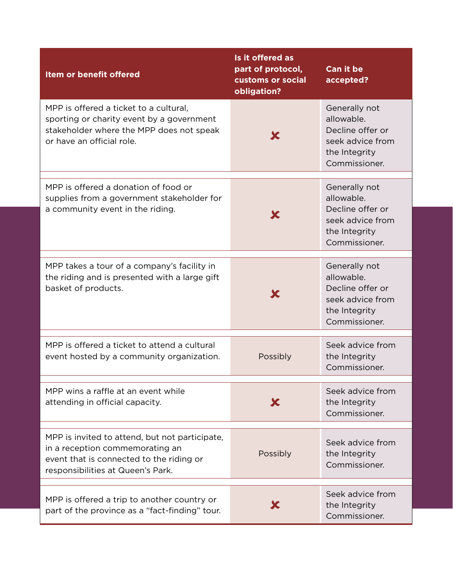| Item or benefit offered                                                                                                                                            | Is it offered as<br>part of protocol,<br>customs or social<br>obligation? | <b>Can it be</b><br>accepted?                                                                         |
|--------------------------------------------------------------------------------------------------------------------------------------------------------------------|---------------------------------------------------------------------------|-------------------------------------------------------------------------------------------------------|
| MPP is offered a ticket to a cultural,<br>sporting or charity event by a government<br>stakeholder where the MPP does not speak<br>or have an official role.       |                                                                           | Generally not<br>allowable.<br>Decline offer or<br>seek advice from<br>the Integrity<br>Commissioner. |
| MPP is offered a donation of food or<br>supplies from a government stakeholder for<br>a community event in the riding.                                             |                                                                           | Generally not<br>allowable.<br>Decline offer or<br>seek advice from<br>the Integrity<br>Commissioner. |
| MPP takes a tour of a company's facility in<br>the riding and is presented with a large gift<br>basket of products.                                                |                                                                           | Generally not<br>allowable.<br>Decline offer or<br>seek advice from<br>the Integrity<br>Commissioner. |
| MPP is offered a ticket to attend a cultural<br>event hosted by a community organization.                                                                          | Possibly                                                                  | Seek advice from<br>the Integrity<br>Commissioner.                                                    |
| MPP wins a raffle at an event while<br>attending in official capacity.                                                                                             |                                                                           | Seek advice from<br>the Integrity<br>Commissioner.                                                    |
| MPP is invited to attend, but not participate,<br>in a reception commemorating an<br>event that is connected to the riding or<br>responsibilities at Queen's Park. | Possibly                                                                  | Seek advice from<br>the Integrity<br>Commissioner.                                                    |
| MPP is offered a trip to another country or<br>part of the province as a "fact-finding" tour.                                                                      |                                                                           | Seek advice from<br>the Integrity<br>Commissioner.                                                    |